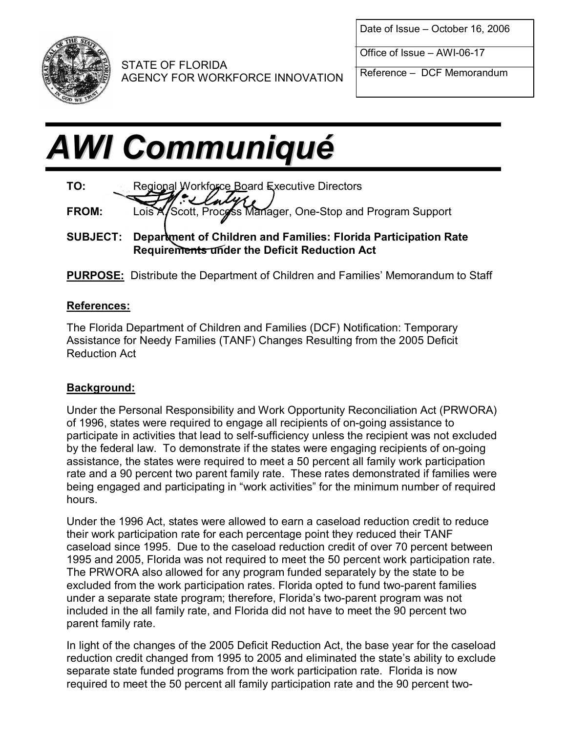

Date of Issue – October 16, 2006

Office of  $Issue - AWI-06-17$ 

Reference – DCF Memorandum

AGENCY FOR WORKFORCE INNOVATION

# **AWI Communiqué**

STATE OF FLORIDA



**SUBJECT: Department of Children and Families: Florida Participation Rate Requirements under the Deficit Reduction Act**

**PURPOSE:** Distribute the Department of Children and Families' Memorandum to Staff

## **References:**

The Florida Department of Children and Families (DCF) Notification: Temporary Assistance for Needy Families (TANF) Changes Resulting from the 2005 Deficit Reduction Act

## **Background:**

Under the Personal Responsibility and Work Opportunity Reconciliation Act (PRWORA) of 1996, states were required to engage all recipients of on-going assistance to participate in activities that lead to self-sufficiency unless the recipient was not excluded by the federal law. To demonstrate if the states were engaging recipients of on-going assistance, the states were required to meet a 50 percent all family work participation rate and a 90 percent two parent family rate. These rates demonstrated if families were being engaged and participating in "work activities" for the minimum number of required hours.

Under the 1996 Act, states were allowed to earn a caseload reduction credit to reduce their work participation rate for each percentage point they reduced their TANF caseload since 1995. Due to the caseload reduction credit of over 70 percent between 1995 and 2005, Florida was not required to meet the 50 percent work participation rate. The PRWORA also allowed for any program funded separately by the state to be excluded from the work participation rates. Florida opted to fund two-parent families under a separate state program; therefore, Florida's two-parent program was not included in the all family rate, and Florida did not have to meet the 90 percent two parent family rate.

In light of the changes of the 2005 Deficit Reduction Act, the base year for the caseload reduction credit changed from 1995 to 2005 and eliminated the state's ability to exclude separate state funded programs from the work participation rate. Florida is now required to meet the 50 percent all family participation rate and the 90 percent two-